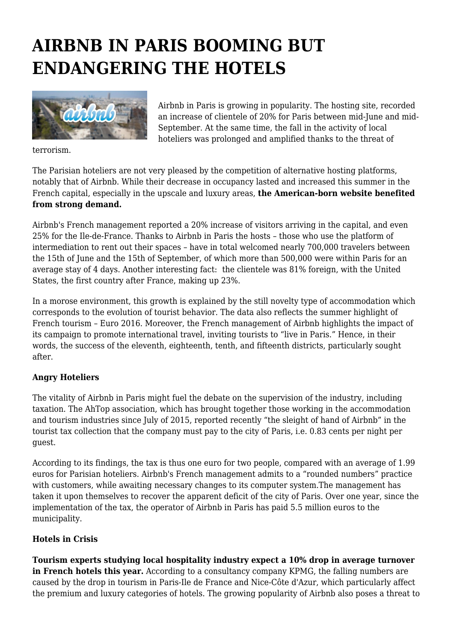## **AIRBNB IN PARIS BOOMING BUT ENDANGERING THE HOTELS**



Airbnb in Paris is growing in popularity. The hosting site, recorded an increase of clientele of 20% for Paris between mid-June and mid-September. At the same time, the fall in the activity of local hoteliers was prolonged and amplified thanks to the threat of

terrorism.

The Parisian hoteliers are not very pleased by the competition of alternative hosting platforms, notably that of Airbnb. While their decrease in occupancy lasted and increased this summer in the French capital, especially in the upscale and luxury areas, **the American-born website benefited from strong demand.**

Airbnb's French management reported a 20% increase of visitors arriving in the capital, and even 25% for the Ile-de-France. Thanks to Airbnb in Paris the hosts – those who use the platform of intermediation to rent out their spaces – have in total welcomed nearly 700,000 travelers between the 15th of June and the 15th of September, of which more than 500,000 were within Paris for an average stay of 4 days. Another interesting fact: the clientele was 81% foreign, with the United States, the first country after France, making up 23%.

In a morose environment, this growth is explained by the still novelty type of accommodation which corresponds to the evolution of tourist behavior. The data also reflects the summer highlight of French tourism – Euro 2016. Moreover, the French management of Airbnb highlights the impact of its campaign to promote international travel, inviting tourists to "live in Paris." Hence, in their words, the success of the eleventh, eighteenth, tenth, and fifteenth districts, particularly sought after.

## **Angry Hoteliers**

The vitality of Airbnb in Paris might fuel the debate on the supervision of the industry, including taxation. The AhTop association, which has brought together those working in the accommodation and tourism industries since July of 2015, reported recently "the sleight of hand of Airbnb" in the tourist tax collection that the company must pay to the city of Paris, i.e. 0.83 cents per night per guest.

According to its findings, the tax is thus one euro for two people, compared with an average of 1.99 euros for Parisian hoteliers. Airbnb's French management admits to a "rounded numbers" practice with customers, while awaiting necessary changes to its computer system.The management has taken it upon themselves to recover the apparent deficit of the city of Paris. Over one year, since the implementation of the tax, the operator of Airbnb in Paris has paid 5.5 million euros to the municipality.

## **Hotels in Crisis**

**Tourism experts studying local hospitality industry expect a 10% drop in average turnover in French hotels this year.** According to a consultancy company KPMG, the falling numbers are caused by the drop in tourism in Paris-Ile de France and Nice-Côte d'Azur, which particularly affect the premium and luxury categories of hotels. The growing popularity of Airbnb also poses a threat to